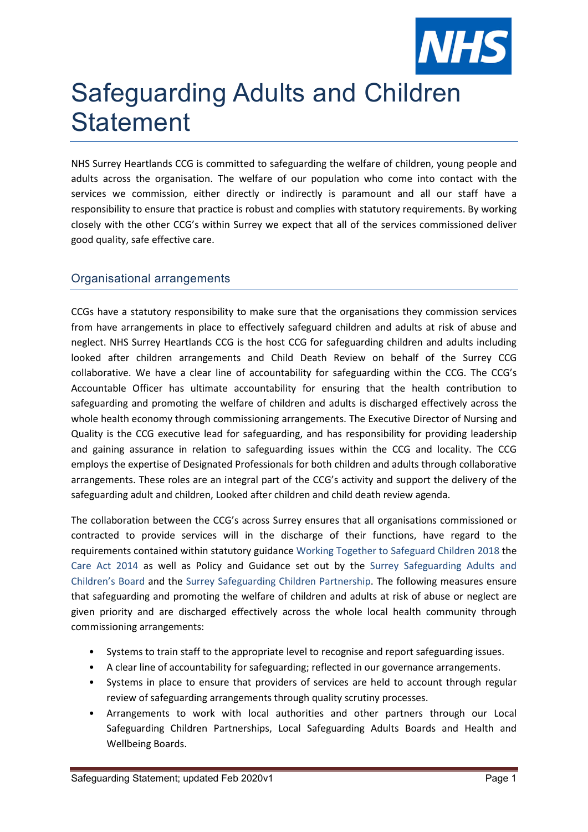

## Safeguarding Adults and Children **Statement**

NHS Surrey Heartlands CCG is committed to safeguarding the welfare of children, young people and adults across the organisation. The welfare of our population who come into contact with the services we commission, either directly or indirectly is paramount and all our staff have a responsibility to ensure that practice is robust and complies with statutory requirements. By working closely with the other CCG's within Surrey we expect that all of the services commissioned deliver good quality, safe effective care.

## Organisational arrangements

CCGs have a statutory responsibility to make sure that the organisations they commission services from have arrangements in place to effectively safeguard children and adults at risk of abuse and neglect. NHS Surrey Heartlands CCG is the host CCG for safeguarding children and adults including looked after children arrangements and Child Death Review on behalf of the Surrey CCG collaborative. We have a clear line of accountability for safeguarding within the CCG. The CCG's Accountable Officer has ultimate accountability for ensuring that the health contribution to safeguarding and promoting the welfare of children and adults is discharged effectively across the whole health economy through commissioning arrangements. The Executive Director of Nursing and Quality is the CCG executive lead for safeguarding, and has responsibility for providing leadership and gaining assurance in relation to safeguarding issues within the CCG and locality. The CCG employs the expertise of Designated Professionals for both children and adults through collaborative arrangements. These roles are an integral part of the CCG's activity and support the delivery of the safeguarding adult and children, Looked after children and child death review agenda.

The collaboration between the CCG's across Surrey ensures that all organisations commissioned or contracted to provide services will in the discharge of their functions, have regard to the requirements contained within statutory guidance Working Together to Safeguard Children 2018 the Care Act 2014 as well as Policy and Guidance set out by the Surrey Safeguarding Adults and Children's Board and the Surrey Safeguarding Children Partnership. The following measures ensure that safeguarding and promoting the welfare of children and adults at risk of abuse or neglect are given priority and are discharged effectively across the whole local health community through commissioning arrangements:

- Systems to train staff to the appropriate level to recognise and report safeguarding issues.
- A clear line of accountability for safeguarding; reflected in our governance arrangements.
- Systems in place to ensure that providers of services are held to account through regular review of safeguarding arrangements through quality scrutiny processes.
- Arrangements to work with local authorities and other partners through our Local Safeguarding Children Partnerships, Local Safeguarding Adults Boards and Health and Wellbeing Boards.